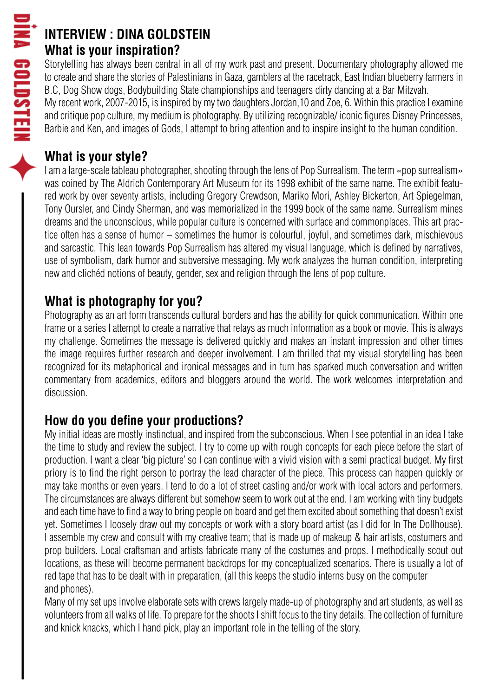## **INTERVIEW : DINA GOLDSTEIN What is your inspiration?**

Storytelling has always been central in all of my work past and present. Documentary photography allowed me to create and share the stories of Palestinians in Gaza, gamblers at the racetrack, East Indian blueberry farmers in B.C, Dog Show dogs, Bodybuilding State championships and teenagers dirty dancing at a Bar Mitzvah. My recent work, 2007-2015, is inspired by my two daughters Jordan,10 and Zoe, 6. Within this practice I examine

and critique pop culture, my medium is photography. By utilizing recognizable/ iconic figures Disney Princesses, Barbie and Ken, and images of Gods, I attempt to bring attention and to inspire insight to the human condition.

### **What is your style?**

I am a large-scale tableau photographer, shooting through the lens of Pop Surrealism. The term «pop surrealism» was coined by The Aldrich Contemporary Art Museum for its 1998 exhibit of the same name. The exhibit featured work by over seventy artists, including Gregory Crewdson, Mariko Mori, Ashley Bickerton, Art Spiegelman, Tony Oursler, and Cindy Sherman, and was memorialized in the 1999 book of the same name. Surrealism mines dreams and the unconscious, while popular culture is concerned with surface and commonplaces. This art practice often has a sense of humor – sometimes the humor is colourful, joyful, and sometimes dark, mischievous and sarcastic. This lean towards Pop Surrealism has altered my visual language, which is defined by narratives, use of symbolism, dark humor and subversive messaging. My work analyzes the human condition, interpreting new and clichéd notions of beauty, gender, sex and religion through the lens of pop culture.

## **What is photography for you?**

Photography as an art form transcends cultural borders and has the ability for quick communication. Within one frame or a series I attempt to create a narrative that relays as much information as a book or movie. This is always my challenge. Sometimes the message is delivered quickly and makes an instant impression and other times the image requires further research and deeper involvement. I am thrilled that my visual storytelling has been recognized for its metaphorical and ironical messages and in turn has sparked much conversation and written commentary from academics, editors and bloggers around the world. The work welcomes interpretation and discussion.

## **How do you define your productions?**

My initial ideas are mostly instinctual, and inspired from the subconscious. When I see potential in an idea I take the time to study and review the subject. I try to come up with rough concepts for each piece before the start of production. I want a clear 'big picture' so I can continue with a vivid vision with a semi practical budget. My first priory is to find the right person to portray the lead character of the piece. This process can happen quickly or may take months or even years. I tend to do a lot of street casting and/or work with local actors and performers. The circumstances are always different but somehow seem to work out at the end. I am working with tiny budgets and each time have to find a way to bring people on board and get them excited about something that doesn't exist yet. Sometimes I loosely draw out my concepts or work with a story board artist (as I did for In The Dollhouse). I assemble my crew and consult with my creative team; that is made up of makeup & hair artists, costumers and prop builders. Local craftsman and artists fabricate many of the costumes and props. l methodically scout out locations, as these will become permanent backdrops for my conceptualized scenarios. There is usually a lot of red tape that has to be dealt with in preparation, (all this keeps the studio interns busy on the computer and phones).

Many of my set ups involve elaborate sets with crews largely made-up of photography and art students, as well as volunteers from all walks of life. To prepare for the shoots I shift focus to the tiny details. The collection of furniture and knick knacks, which I hand pick, play an important role in the telling of the story.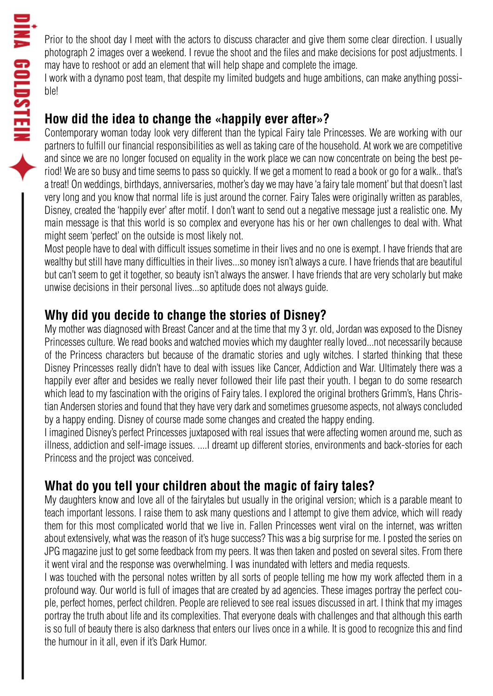Prior to the shoot day I meet with the actors to discuss character and give them some clear direction. I usually photograph 2 images over a weekend. I revue the shoot and the files and make decisions for post adjustments. I may have to reshoot or add an element that will help shape and complete the image.

I work with a dynamo post team, that despite my limited budgets and huge ambitions, can make anything possible!

### **How did the idea to change the «happily ever after»?**

Contemporary woman today look very different than the typical Fairy tale Princesses. We are working with our partners to fulfill our financial responsibilities as well as taking care of the household. At work we are competitive and since we are no longer focused on equality in the work place we can now concentrate on being the best period! We are so busy and time seems to pass so quickly. If we get a moment to read a book or go for a walk.. that's a treat! On weddings, birthdays, anniversaries, mother's day we may have 'a fairy tale moment' but that doesn't last very long and you know that normal life is just around the corner. Fairy Tales were originally written as parables, Disney, created the 'happily ever' after motif. I don't want to send out a negative message just a realistic one. My main message is that this world is so complex and everyone has his or her own challenges to deal with. What might seem 'perfect' on the outside is most likely not.

Most people have to deal with difficult issues sometime in their lives and no one is exempt. I have friends that are wealthy but still have many difficulties in their lives...so money isn't always a cure. I have friends that are beautiful but can't seem to get it together, so beauty isn't always the answer. I have friends that are very scholarly but make unwise decisions in their personal lives...so aptitude does not always guide.

#### **Why did you decide to change the stories of Disney?**

My mother was diagnosed with Breast Cancer and at the time that my 3 yr. old, Jordan was exposed to the Disney Princesses culture. We read books and watched movies which my daughter really loved...not necessarily because of the Princess characters but because of the dramatic stories and ugly witches. I started thinking that these Disney Princesses really didn't have to deal with issues like Cancer, Addiction and War. Ultimately there was a happily ever after and besides we really never followed their life past their youth. I began to do some research which lead to my fascination with the origins of Fairy tales. I explored the original brothers Grimm's, Hans Christian Andersen stories and found that they have very dark and sometimes gruesome aspects, not always concluded by a happy ending. Disney of course made some changes and created the happy ending.

I imagined Disney's perfect Princesses juxtaposed with real issues that were affecting women around me, such as illness, addiction and self-image issues. ....I dreamt up different stories, environments and back-stories for each Princess and the project was conceived.

## **What do you tell your children about the magic of fairy tales?**

My daughters know and love all of the fairytales but usually in the original version; which is a parable meant to teach important lessons. I raise them to ask many questions and I attempt to give them advice, which will ready them for this most complicated world that we live in. Fallen Princesses went viral on the internet, was written about extensively, what was the reason of it's huge success? This was a big surprise for me. I posted the series on JPG magazine just to get some feedback from my peers. It was then taken and posted on several sites. From there it went viral and the response was overwhelming. I was inundated with letters and media requests.

I was touched with the personal notes written by all sorts of people telling me how my work affected them in a profound way. Our world is full of images that are created by ad agencies. These images portray the perfect couple, perfect homes, perfect children. People are relieved to see real issues discussed in art. I think that my images portray the truth about life and its complexities. That everyone deals with challenges and that although this earth is so full of beauty there is also darkness that enters our lives once in a while. It is good to recognize this and find the humour in it all, even if it's Dark Humor.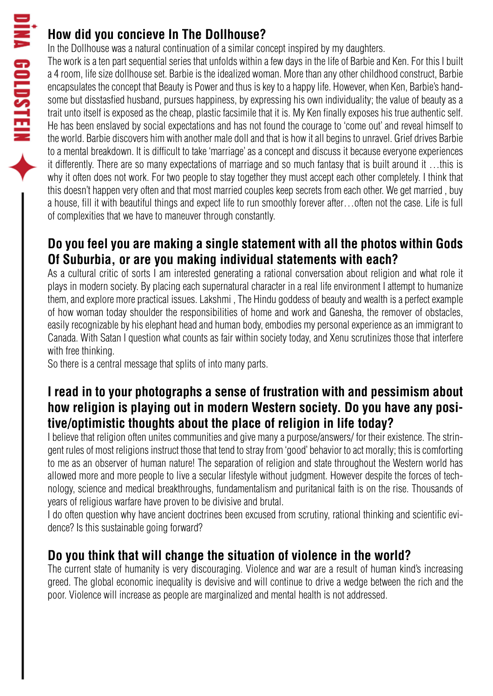# **How did you concieve In The Dollhouse?**

In the Dollhouse was a natural continuation of a similar concept inspired by my daughters.

The work is a ten part sequential series that unfolds within a few days in the life of Barbie and Ken. For this I built a 4 room, life size dollhouse set. Barbie is the idealized woman. More than any other childhood construct, Barbie encapsulates the concept that Beauty is Power and thus is key to a happy life. However, when Ken, Barbie's handsome but disstasfied husband, pursues happiness, by expressing his own individuality; the value of beauty as a trait unto itself is exposed as the cheap, plastic facsimile that it is. My Ken finally exposes his true authentic self. He has been enslaved by social expectations and has not found the courage to 'come out' and reveal himself to the world. Barbie discovers him with another male doll and that is how it all begins to unravel. Grief drives Barbie to a mental breakdown. It is difficult to take 'marriage' as a concept and discuss it because everyone experiences it differently. There are so many expectations of marriage and so much fantasy that is built around it …this is why it often does not work. For two people to stay together they must accept each other completely. I think that this doesn't happen very often and that most married couples keep secrets from each other. We get married , buy a house, fill it with beautiful things and expect life to run smoothly forever after…often not the case. Life is full of complexities that we have to maneuver through constantly.

# **Do you feel you are making a single statement with all the photos within Gods Of Suburbia, or are you making individual statements with each?**

As a cultural critic of sorts I am interested generating a rational conversation about religion and what role it plays in modern society. By placing each supernatural character in a real life environment I attempt to humanize them, and explore more practical issues. Lakshmi , The Hindu goddess of beauty and wealth is a perfect example of how woman today shoulder the responsibilities of home and work and Ganesha, the remover of obstacles, easily recognizable by his elephant head and human body, embodies my personal experience as an immigrant to Canada. With Satan I question what counts as fair within society today, and Xenu scrutinizes those that interfere with free thinking.

So there is a central message that splits of into many parts.

### **I read in to your photographs a sense of frustration with and pessimism about how religion is playing out in modern Western society. Do you have any positive/optimistic thoughts about the place of religion in life today?**

I believe that religion often unites communities and give many a purpose/answers/ for their existence. The stringent rules of most religions instruct those that tend to stray from 'good' behavior to act morally; this is comforting to me as an observer of human nature! The separation of religion and state throughout the Western world has allowed more and more people to live a secular lifestyle without judgment. However despite the forces of technology, science and medical breakthroughs, fundamentalism and puritanical faith is on the rise. Thousands of years of religious warfare have proven to be divisive and brutal.

I do often question why have ancient doctrines been excused from scrutiny, rational thinking and scientific evidence? Is this sustainable going forward?

## **Do you think that will change the situation of violence in the world?**

The current state of humanity is very discouraging. Violence and war are a result of human kind's increasing greed. The global economic inequality is devisive and will continue to drive a wedge between the rich and the poor. Violence will increase as people are marginalized and mental health is not addressed.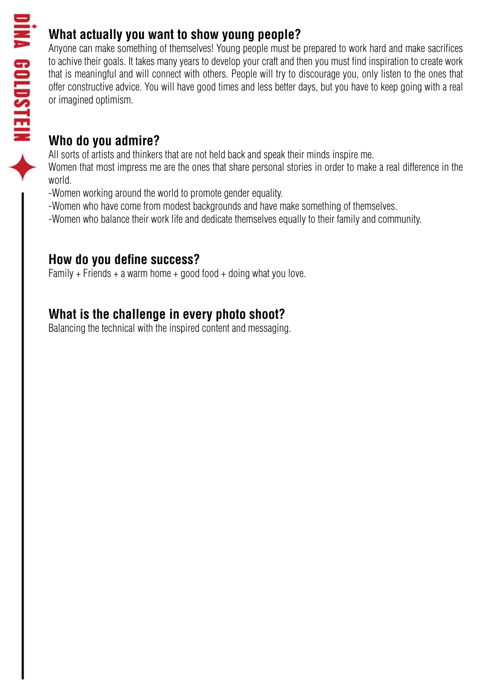# **What actually you want to show young people?**

Anyone can make something of themselves! Young people must be prepared to work hard and make sacrifices to achive their goals. It takes many years to develop your craft and then you must find inspiration to create work that is meaningful and will connect with others. People will try to discourage you, only listen to the ones that offer constructive advice. You will have good times and less better days, but you have to keep going with a real or imagined optimism.

### **Who do you admire?**

All sorts of artists and thinkers that are not held back and speak their minds inspire me.

Women that most impress me are the ones that share personal stories in order to make a real difference in the world.

-Women working around the world to promote gender equality.

-Women who have come from modest backgrounds and have make something of themselves.

-Women who balance their work life and dedicate themselves equally to their family and community.

## **How do you define success?**

Family + Friends + a warm home + good food + doing what you love.

# **What is the challenge in every photo shoot?**

Balancing the technical with the inspired content and messaging.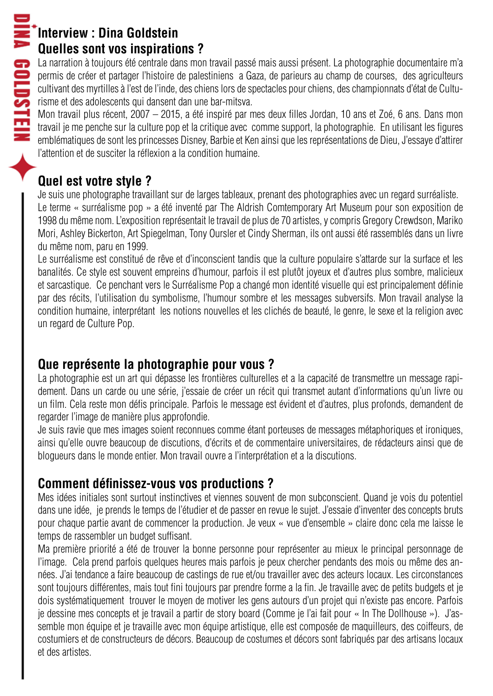#### **Interview : Dina Goldstein Quelles sont vos inspirations ?**

La narration à toujours été centrale dans mon travail passé mais aussi présent. La photographie documentaire m'a permis de créer et partager l'histoire de palestiniens a Gaza, de parieurs au champ de courses, des agriculteurs cultivant des myrtilles à l'est de l'inde, des chiens lors de spectacles pour chiens, des championnats d'état de Culturisme et des adolescents qui dansent dan une bar-mitsva.

Mon travail plus récent, 2007 – 2015, a été inspiré par mes deux filles Jordan, 10 ans et Zoé, 6 ans. Dans mon travail je me penche sur la culture pop et la critique avec comme support, la photographie. En utilisant les figures emblématiques de sont les princesses Disney, Barbie et Ken ainsi que les représentations de Dieu, J'essaye d'attirer l'attention et de susciter la réflexion a la condition humaine.

# **Quel est votre style ?**

Je suis une photographe travaillant sur de larges tableaux, prenant des photographies avec un regard surréaliste. Le terme « surréalisme pop » a été inventé par The Aldrish Comtemporary Art Museum pour son exposition de 1998 du même nom. L'exposition représentait le travail de plus de 70 artistes, y compris Gregory Crewdson, Mariko Mori, Ashley Bickerton, Art Spiegelman, Tony Oursler et Cindy Sherman, ils ont aussi été rassemblés dans un livre du même nom, paru en 1999.

Le surréalisme est constitué de rêve et d'inconscient tandis que la culture populaire s'attarde sur la surface et les banalités. Ce style est souvent empreins d'humour, parfois il est plutôt joyeux et d'autres plus sombre, malicieux et sarcastique. Ce penchant vers le Surréalisme Pop a changé mon identité visuelle qui est principalement définie par des récits, l'utilisation du symbolisme, l'humour sombre et les messages subversifs. Mon travail analyse la condition humaine, interprétant les notions nouvelles et les clichés de beauté, le genre, le sexe et la religion avec un regard de Culture Pop.

# **Que représente la photographie pour vous ?**

La photographie est un art qui dépasse les frontières culturelles et a la capacité de transmettre un message rapidement. Dans un carde ou une série, j'essaie de créer un récit qui transmet autant d'informations qu'un livre ou un film. Cela reste mon défis principale. Parfois le message est évident et d'autres, plus profonds, demandent de regarder l'image de manière plus approfondie.

Je suis ravie que mes images soient reconnues comme étant porteuses de messages métaphoriques et ironiques, ainsi qu'elle ouvre beaucoup de discutions, d'écrits et de commentaire universitaires, de rédacteurs ainsi que de blogueurs dans le monde entier. Mon travail ouvre a l'interprétation et a la discutions.

## **Comment définissez-vous vos productions ?**

Mes idées initiales sont surtout instinctives et viennes souvent de mon subconscient. Quand je vois du potentiel dans une idée, je prends le temps de l'étudier et de passer en revue le sujet. J'essaie d'inventer des concepts bruts pour chaque partie avant de commencer la production. Je veux « vue d'ensemble » claire donc cela me laisse le temps de rassembler un budget suffisant.

Ma première priorité a été de trouver la bonne personne pour représenter au mieux le principal personnage de l'image. Cela prend parfois quelques heures mais parfois je peux chercher pendants des mois ou même des années. J'ai tendance a faire beaucoup de castings de rue et/ou travailler avec des acteurs locaux. Les circonstances sont toujours différentes, mais tout fini toujours par prendre forme a la fin. Je travaille avec de petits budgets et je dois systématiquement trouver le moyen de motiver les gens autours d'un projet qui n'existe pas encore. Parfois je dessine mes concepts et je travail a partir de story board (Comme je l'ai fait pour « In The Dollhouse »). J'assemble mon équipe et je travaille avec mon équipe artistique, elle est composée de maquilleurs, des coiffeurs, de costumiers et de constructeurs de décors. Beaucoup de costumes et décors sont fabriqués par des artisans locaux et des artistes.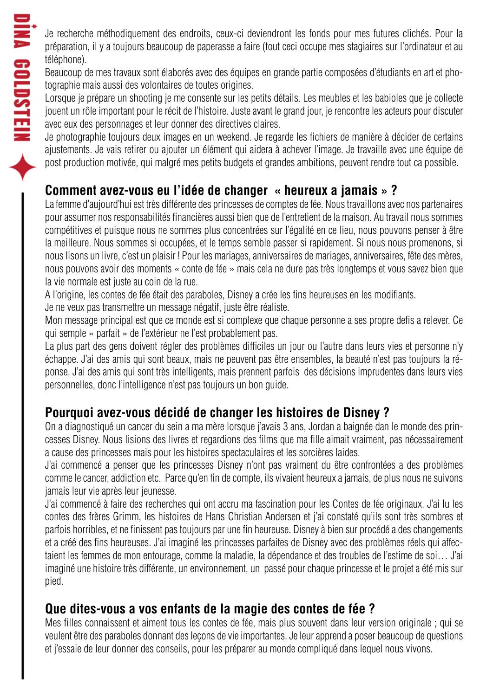Je recherche méthodiquement des endroits, ceux-ci deviendront les fonds pour mes futures clichés. Pour la préparation, il y a toujours beaucoup de paperasse a faire (tout ceci occupe mes stagiaires sur l'ordinateur et au téléphone).

Beaucoup de mes travaux sont élaborés avec des équipes en grande partie composées d'étudiants en art et photographie mais aussi des volontaires de toutes origines.

Lorsque je prépare un shooting je me consente sur les petits détails. Les meubles et les babioles que je collecte jouent un rôle important pour le récit de l'histoire. Juste avant le grand jour, je rencontre les acteurs pour discuter avec eux des personnages et leur donner des directives claires.

Je photographie toujours deux images en un weekend. Je regarde les fichiers de manière à décider de certains ajustements. Je vais retirer ou ajouter un élément qui aidera à achever l'image. Je travaille avec une équipe de post production motivée, qui malgré mes petits budgets et grandes ambitions, peuvent rendre tout ca possible.

## **Comment avez-vous eu l'idée de changer « heureux a jamais » ?**

La femme d'aujourd'hui est très différente des princesses de comptes de fée. Nous travaillons avec nos partenaires pour assumer nos responsabilités financières aussi bien que de l'entretient de la maison. Au travail nous sommes compétitives et puisque nous ne sommes plus concentrées sur l'égalité en ce lieu, nous pouvons penser à être la meilleure. Nous sommes si occupées, et le temps semble passer si rapidement. Si nous nous promenons, si nous lisons un livre, c'est un plaisir ! Pour les mariages, anniversaires de mariages, anniversaires, fête des mères, nous pouvons avoir des moments « conte de fée » mais cela ne dure pas très longtemps et vous savez bien que la vie normale est juste au coin de la rue.

A l'origine, les contes de fée était des paraboles, Disney a crée les fins heureuses en les modifiants.

Je ne veux pas transmettre un message négatif, juste être réaliste.

Mon message principal est que ce monde est si complexe que chaque personne a ses propre defis a relever. Ce qui semple « parfait » de l'extérieur ne l'est probablement pas.

La plus part des gens doivent régler des problèmes difficiles un jour ou l'autre dans leurs vies et personne n'y échappe. J'ai des amis qui sont beaux, mais ne peuvent pas être ensembles, la beauté n'est pas toujours la réponse. J'ai des amis qui sont très intelligents, mais prennent parfois des décisions imprudentes dans leurs vies personnelles, donc l'intelligence n'est pas toujours un bon guide.

## **Pourquoi avez-vous décidé de changer les histoires de Disney ?**

On a diagnostiqué un cancer du sein a ma mère lorsque j'avais 3 ans, Jordan a baignée dan le monde des princesses Disney. Nous lisions des livres et regardions des films que ma fille aimait vraiment, pas nécessairement a cause des princesses mais pour les histoires spectaculaires et les sorcières laides.

J'ai commencé a penser que les princesses Disney n'ont pas vraiment du être confrontées a des problèmes comme le cancer, addiction etc. Parce qu'en fin de compte, ils vivaient heureux a jamais, de plus nous ne suivons jamais leur vie après leur jeunesse.

J'ai commencé à faire des recherches qui ont accru ma fascination pour les Contes de fée originaux. J'ai lu les contes des frères Grimm, les histoires de Hans Christian Andersen et j'ai constaté qu'ils sont très sombres et parfois horribles, et ne finissent pas toujours par une fin heureuse. Disney à bien sur procédé a des changements et a créé des fins heureuses. J'ai imaginé les princesses parfaites de Disney avec des problèmes réels qui affectaient les femmes de mon entourage, comme la maladie, la dépendance et des troubles de l'estime de soi… J'ai imaginé une histoire très différente, un environnement, un passé pour chaque princesse et le projet a été mis sur pied.

### **Que dites-vous a vos enfants de la magie des contes de fée ?**

Mes filles connaissent et aiment tous les contes de fée, mais plus souvent dans leur version originale ; qui se veulent être des paraboles donnant des leçons de vie importantes. Je leur apprend a poser beaucoup de questions et j'essaie de leur donner des conseils, pour les préparer au monde compliqué dans lequel nous vivons.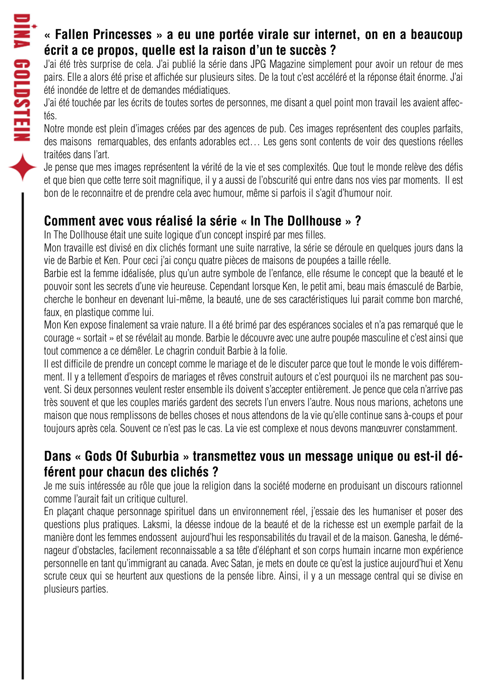### **« Fallen Princesses » a eu une portée virale sur internet, on en a beaucoup écrit a ce propos, quelle est la raison d'un te succès ?**

J'ai été très surprise de cela. J'ai publié la série dans JPG Magazine simplement pour avoir un retour de mes pairs. Elle a alors été prise et affichée sur plusieurs sites. De la tout c'est accéléré et la réponse était énorme. J'ai été inondée de lettre et de demandes médiatiques.

J'ai été touchée par les écrits de toutes sortes de personnes, me disant a quel point mon travail les avaient affectés.

Notre monde est plein d'images créées par des agences de pub. Ces images représentent des couples parfaits, des maisons remarquables, des enfants adorables ect… Les gens sont contents de voir des questions réelles traitées dans l'art.

Je pense que mes images représentent la vérité de la vie et ses complexités. Que tout le monde relève des défis et que bien que cette terre soit magnifique, il y a aussi de l'obscurité qui entre dans nos vies par moments. Il est bon de le reconnaitre et de prendre cela avec humour, même si parfois il s'agit d'humour noir.

## **Comment avec vous réalisé la série « In The Dollhouse » ?**

In The Dollhouse était une suite logique d'un concept inspiré par mes filles.

Mon travaille est divisé en dix clichés formant une suite narrative, la série se déroule en quelques jours dans la vie de Barbie et Ken. Pour ceci j'ai conçu quatre pièces de maisons de poupées a taille réelle.

Barbie est la femme idéalisée, plus qu'un autre symbole de l'enfance, elle résume le concept que la beauté et le pouvoir sont les secrets d'une vie heureuse. Cependant lorsque Ken, le petit ami, beau mais émasculé de Barbie, cherche le bonheur en devenant lui-même, la beauté, une de ses caractéristiques lui parait comme bon marché, faux, en plastique comme lui.

Mon Ken expose finalement sa vraie nature. Il a été brimé par des espérances sociales et n'a pas remarqué que le courage « sortait » et se révélait au monde. Barbie le découvre avec une autre poupée masculine et c'est ainsi que tout commence a ce démêler. Le chagrin conduit Barbie à la folie.

Il est difficile de prendre un concept comme le mariage et de le discuter parce que tout le monde le vois différemment. Il y a tellement d'espoirs de mariages et rêves construit autours et c'est pourquoi ils ne marchent pas souvent. Si deux personnes veulent rester ensemble ils doivent s'accepter entièrement. Je pence que cela n'arrive pas très souvent et que les couples mariés gardent des secrets l'un envers l'autre. Nous nous marions, achetons une maison que nous remplissons de belles choses et nous attendons de la vie qu'elle continue sans à-coups et pour toujours après cela. Souvent ce n'est pas le cas. La vie est complexe et nous devons manœuvrer constamment.

#### **Dans « Gods Of Suburbia » transmettez vous un message unique ou est-il déférent pour chacun des clichés ?**

Je me suis intéressée au rôle que joue la religion dans la société moderne en produisant un discours rationnel comme l'aurait fait un critique culturel.

En plaçant chaque personnage spirituel dans un environnement réel, j'essaie des les humaniser et poser des questions plus pratiques. Laksmi, la déesse indoue de la beauté et de la richesse est un exemple parfait de la manière dont les femmes endossent aujourd'hui les responsabilités du travail et de la maison. Ganesha, le déménageur d'obstacles, facilement reconnaissable a sa tête d'éléphant et son corps humain incarne mon expérience personnelle en tant qu'immigrant au canada. Avec Satan, je mets en doute ce qu'est la justice aujourd'hui et Xenu scrute ceux qui se heurtent aux questions de la pensée libre. Ainsi, il y a un message central qui se divise en plusieurs parties.